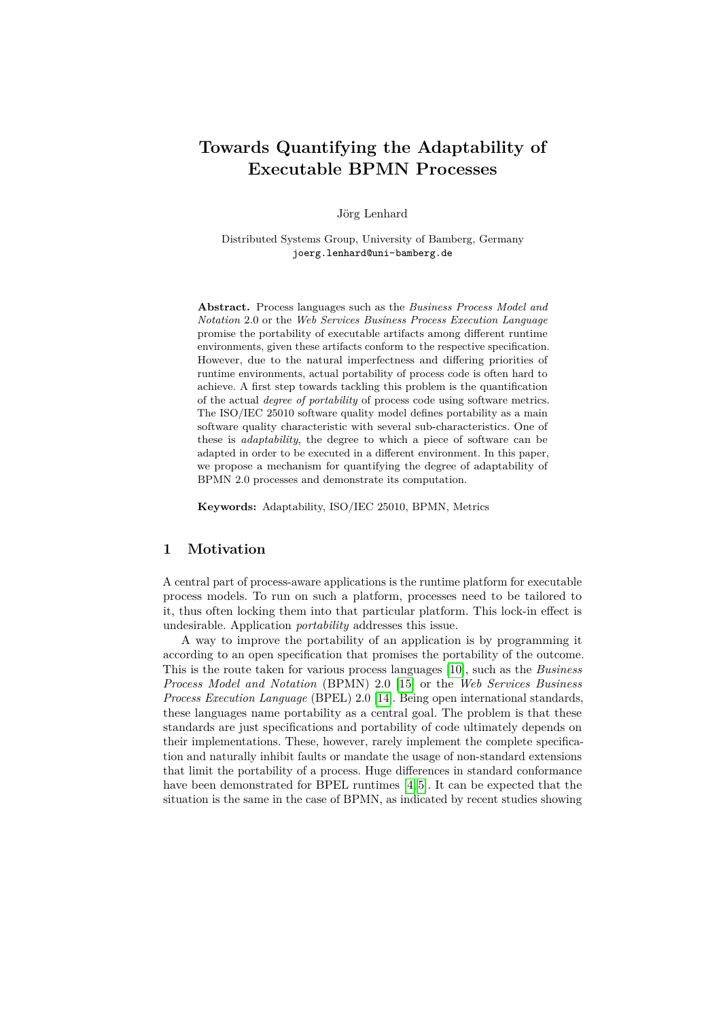# **Towards Quantifying the Adaptability of Executable BPMN Processes**

Jörg Lenhard

Distributed Systems Group, University of Bamberg, Germany joerg.lenhard@uni-bamberg.de

**Abstract.** Process languages such as the *Business Process Model and Notation* 2.0 or the *Web Services Business Process Execution Language* promise the portability of executable artifacts among different runtime environments, given these artifacts conform to the respective specification. However, due to the natural imperfectness and differing priorities of runtime environments, actual portability of process code is often hard to achieve. A first step towards tackling this problem is the quantification of the actual *degree of portability* of process code using software metrics. The ISO/IEC 25010 software quality model defines portability as a main software quality characteristic with several sub-characteristics. One of these is *adaptability*, the degree to which a piece of software can be adapted in order to be executed in a different environment. In this paper, we propose a mechanism for quantifying the degree of adaptability of BPMN 2.0 processes and demonstrate its computation.

**Keywords:** Adaptability, ISO/IEC 25010, BPMN, Metrics

### **1 Motivation**

A central part of process-aware applications is the runtime platform for executable process models. To run on such a platform, processes need to be tailored to it, thus often locking them into that particular platform. This lock-in effect is undesirable. Application *portability* addresses this issue.

A way to improve the portability of an application is by programming it according to an open specification that promises the portability of the outcome. This is the route taken for various process languages [\[10\]](#page-7-0), such as the *Business Process Model and Notation* (BPMN) 2.0 [\[15\]](#page-7-1) or the *Web Services Business Process Execution Language* (BPEL) 2.0 [\[14\]](#page-7-2). Being open international standards, these languages name portability as a central goal. The problem is that these standards are just specifications and portability of code ultimately depends on their implementations. These, however, rarely implement the complete specification and naturally inhibit faults or mandate the usage of non-standard extensions that limit the portability of a process. Huge differences in standard conformance have been demonstrated for BPEL runtimes [\[4,](#page-7-3) [5\]](#page-7-4). It can be expected that the situation is the same in the case of BPMN, as indicated by recent studies showing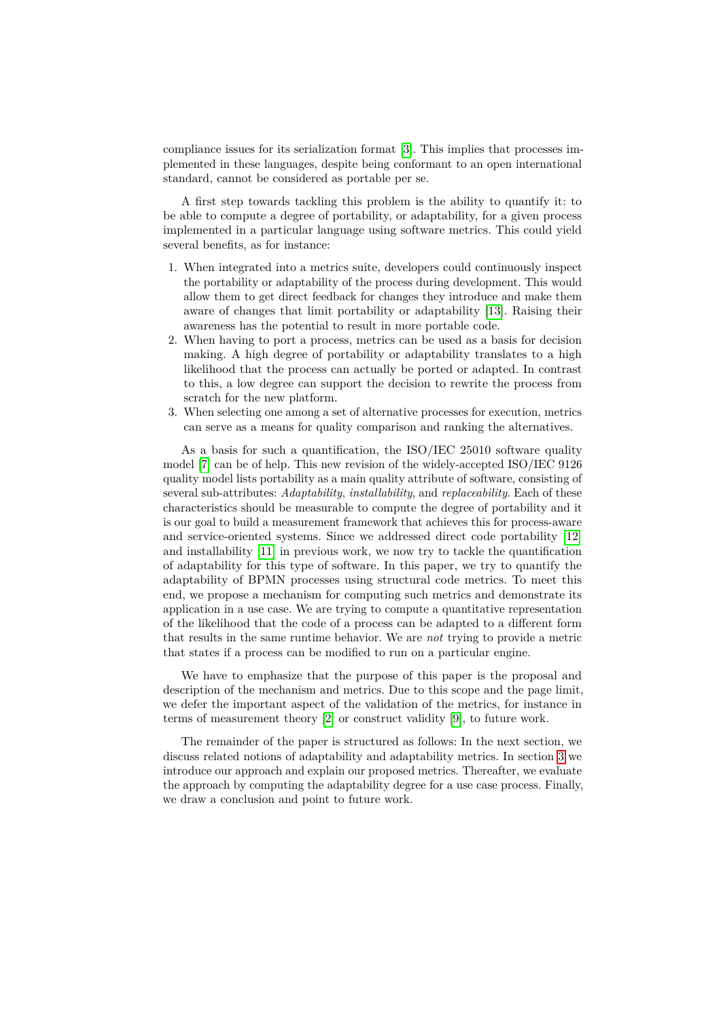compliance issues for its serialization format [\[3\]](#page-7-5). This implies that processes implemented in these languages, despite being conformant to an open international standard, cannot be considered as portable per se.

A first step towards tackling this problem is the ability to quantify it: to be able to compute a degree of portability, or adaptability, for a given process implemented in a particular language using software metrics. This could yield several benefits, as for instance:

- 1. When integrated into a metrics suite, developers could continuously inspect the portability or adaptability of the process during development. This would allow them to get direct feedback for changes they introduce and make them aware of changes that limit portability or adaptability [\[13\]](#page-7-6). Raising their awareness has the potential to result in more portable code.
- 2. When having to port a process, metrics can be used as a basis for decision making. A high degree of portability or adaptability translates to a high likelihood that the process can actually be ported or adapted. In contrast to this, a low degree can support the decision to rewrite the process from scratch for the new platform.
- 3. When selecting one among a set of alternative processes for execution, metrics can serve as a means for quality comparison and ranking the alternatives.

As a basis for such a quantification, the ISO/IEC 25010 software quality model [\[7\]](#page-7-7) can be of help. This new revision of the widely-accepted ISO/IEC 9126 quality model lists portability as a main quality attribute of software, consisting of several sub-attributes: *Adaptability*, *installability*, and *replaceability*. Each of these characteristics should be measurable to compute the degree of portability and it is our goal to build a measurement framework that achieves this for process-aware and service-oriented systems. Since we addressed direct code portability [\[12\]](#page-7-8) and installability [\[11\]](#page-7-9) in previous work, we now try to tackle the quantification of adaptability for this type of software. In this paper, we try to quantify the adaptability of BPMN processes using structural code metrics. To meet this end, we propose a mechanism for computing such metrics and demonstrate its application in a use case. We are trying to compute a quantitative representation of the likelihood that the code of a process can be adapted to a different form that results in the same runtime behavior. We are *not* trying to provide a metric that states if a process can be modified to run on a particular engine.

We have to emphasize that the purpose of this paper is the proposal and description of the mechanism and metrics. Due to this scope and the page limit, we defer the important aspect of the validation of the metrics, for instance in terms of measurement theory [\[2\]](#page-7-10) or construct validity [\[9\]](#page-7-11), to future work.

The remainder of the paper is structured as follows: In the next section, we discuss related notions of adaptability and adaptability metrics. In section [3](#page-3-0) we introduce our approach and explain our proposed metrics. Thereafter, we evaluate the approach by computing the adaptability degree for a use case process. Finally, we draw a conclusion and point to future work.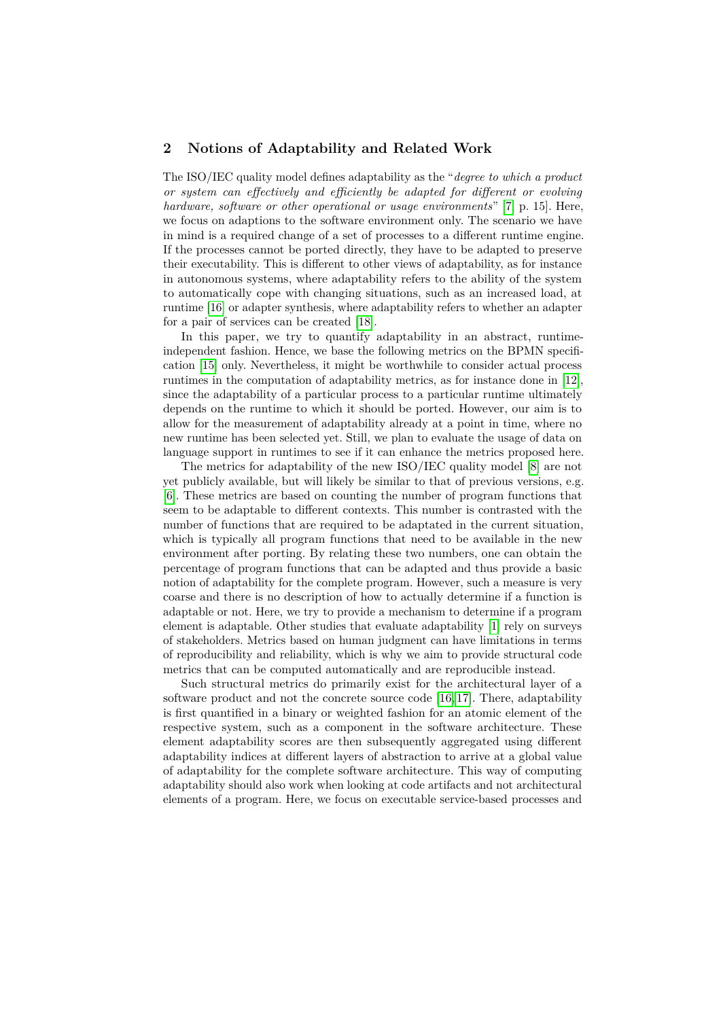## **2 Notions of Adaptability and Related Work**

The ISO/IEC quality model defines adaptability as the "*degree to which a product or system can effectively and efficiently be adapted for different or evolving hardware, software or other operational or usage environments*" [\[7,](#page-7-7) p. 15]. Here, we focus on adaptions to the software environment only. The scenario we have in mind is a required change of a set of processes to a different runtime engine. If the processes cannot be ported directly, they have to be adapted to preserve their executability. This is different to other views of adaptability, as for instance in autonomous systems, where adaptability refers to the ability of the system to automatically cope with changing situations, such as an increased load, at runtime [\[16\]](#page-7-12) or adapter synthesis, where adaptability refers to whether an adapter for a pair of services can be created [\[18\]](#page-7-13).

In this paper, we try to quantify adaptability in an abstract, runtimeindependent fashion. Hence, we base the following metrics on the BPMN specification [\[15\]](#page-7-1) only. Nevertheless, it might be worthwhile to consider actual process runtimes in the computation of adaptability metrics, as for instance done in [\[12\]](#page-7-8), since the adaptability of a particular process to a particular runtime ultimately depends on the runtime to which it should be ported. However, our aim is to allow for the measurement of adaptability already at a point in time, where no new runtime has been selected yet. Still, we plan to evaluate the usage of data on language support in runtimes to see if it can enhance the metrics proposed here.

The metrics for adaptability of the new ISO/IEC quality model [\[8\]](#page-7-14) are not yet publicly available, but will likely be similar to that of previous versions, e.g. [\[6\]](#page-7-15). These metrics are based on counting the number of program functions that seem to be adaptable to different contexts. This number is contrasted with the number of functions that are required to be adaptated in the current situation, which is typically all program functions that need to be available in the new environment after porting. By relating these two numbers, one can obtain the percentage of program functions that can be adapted and thus provide a basic notion of adaptability for the complete program. However, such a measure is very coarse and there is no description of how to actually determine if a function is adaptable or not. Here, we try to provide a mechanism to determine if a program element is adaptable. Other studies that evaluate adaptability [\[1\]](#page-7-16) rely on surveys of stakeholders. Metrics based on human judgment can have limitations in terms of reproducibility and reliability, which is why we aim to provide structural code metrics that can be computed automatically and are reproducible instead.

Such structural metrics do primarily exist for the architectural layer of a software product and not the concrete source code [\[16,](#page-7-12) [17\]](#page-7-17). There, adaptability is first quantified in a binary or weighted fashion for an atomic element of the respective system, such as a component in the software architecture. These element adaptability scores are then subsequently aggregated using different adaptability indices at different layers of abstraction to arrive at a global value of adaptability for the complete software architecture. This way of computing adaptability should also work when looking at code artifacts and not architectural elements of a program. Here, we focus on executable service-based processes and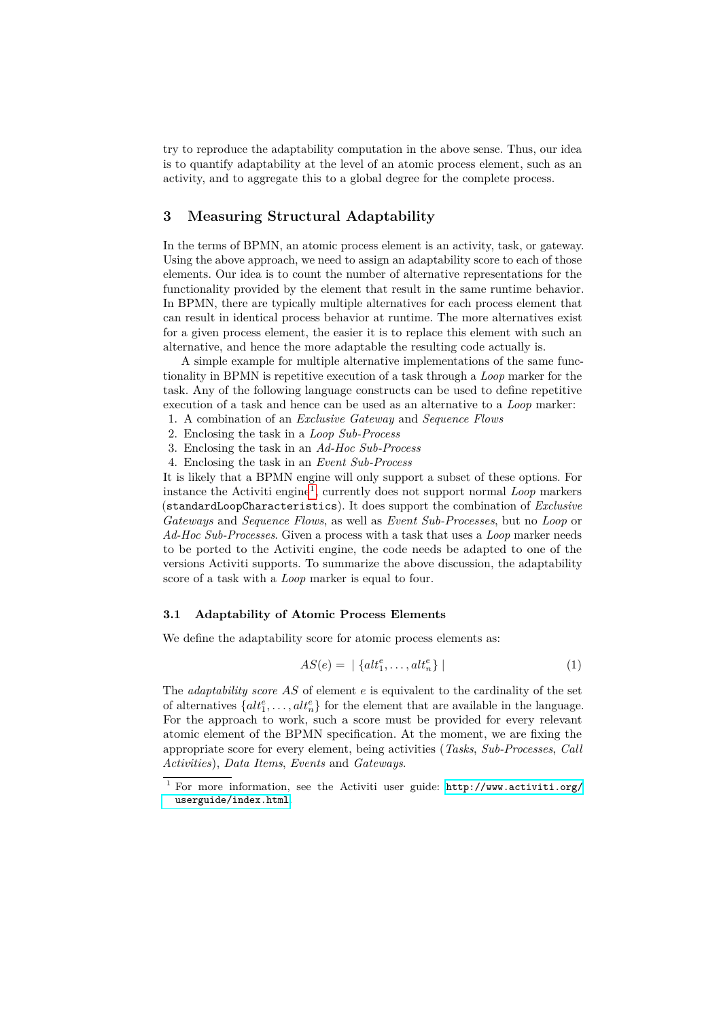try to reproduce the adaptability computation in the above sense. Thus, our idea is to quantify adaptability at the level of an atomic process element, such as an activity, and to aggregate this to a global degree for the complete process.

### <span id="page-3-0"></span>**3 Measuring Structural Adaptability**

In the terms of BPMN, an atomic process element is an activity, task, or gateway. Using the above approach, we need to assign an adaptability score to each of those elements. Our idea is to count the number of alternative representations for the functionality provided by the element that result in the same runtime behavior. In BPMN, there are typically multiple alternatives for each process element that can result in identical process behavior at runtime. The more alternatives exist for a given process element, the easier it is to replace this element with such an alternative, and hence the more adaptable the resulting code actually is.

A simple example for multiple alternative implementations of the same functionality in BPMN is repetitive execution of a task through a *Loop* marker for the task. Any of the following language constructs can be used to define repetitive execution of a task and hence can be used as an alternative to a *Loop* marker:

- 1. A combination of an *Exclusive Gateway* and *Sequence Flows*
- 2. Enclosing the task in a *Loop Sub-Process*
- 3. Enclosing the task in an *Ad-Hoc Sub-Process*
- 4. Enclosing the task in an *Event Sub-Process*

It is likely that a BPMN engine will only support a subset of these options. For instance the Activiti engine[1](#page-3-1) , currently does not support normal *Loop* markers (standardLoopCharacteristics). It does support the combination of *Exclusive Gateways* and *Sequence Flows*, as well as *Event Sub-Processes*, but no *Loop* or *Ad-Hoc Sub-Processes*. Given a process with a task that uses a *Loop* marker needs to be ported to the Activiti engine, the code needs be adapted to one of the versions Activiti supports. To summarize the above discussion, the adaptability score of a task with a *Loop* marker is equal to four.

#### <span id="page-3-2"></span>**3.1 Adaptability of Atomic Process Elements**

We define the adaptability score for atomic process elements as:

$$
AS(e) = \left| \left\{ alt_1^e, \dots, alt_n^e \right\} \right| \tag{1}
$$

The *adaptability score AS* of element *e* is equivalent to the cardinality of the set of alternatives  $\{alt_1^e, \ldots, alt_n^e\}$  for the element that are available in the language. For the approach to work, such a score must be provided for every relevant atomic element of the BPMN specification. At the moment, we are fixing the appropriate score for every element, being activities (*Tasks*, *Sub-Processes*, *Call Activities*), *Data Items*, *Events* and *Gateways*.

<span id="page-3-1"></span><sup>1</sup> For more information, see the Activiti user guide: [http://www.activiti.org/](http://www.activiti.org/userguide/index.html) [userguide/index.html](http://www.activiti.org/userguide/index.html).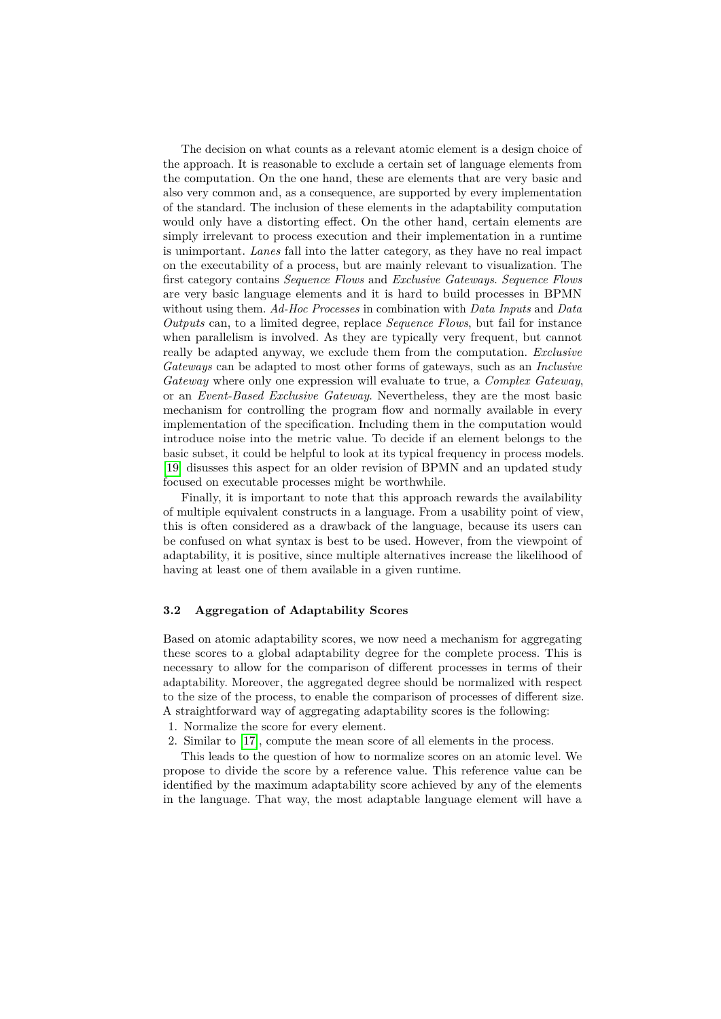The decision on what counts as a relevant atomic element is a design choice of the approach. It is reasonable to exclude a certain set of language elements from the computation. On the one hand, these are elements that are very basic and also very common and, as a consequence, are supported by every implementation of the standard. The inclusion of these elements in the adaptability computation would only have a distorting effect. On the other hand, certain elements are simply irrelevant to process execution and their implementation in a runtime is unimportant. *Lanes* fall into the latter category, as they have no real impact on the executability of a process, but are mainly relevant to visualization. The first category contains *Sequence Flows* and *Exclusive Gateways*. *Sequence Flows* are very basic language elements and it is hard to build processes in BPMN without using them. *Ad-Hoc Processes* in combination with *Data Inputs* and *Data Outputs* can, to a limited degree, replace *Sequence Flows*, but fail for instance when parallelism is involved. As they are typically very frequent, but cannot really be adapted anyway, we exclude them from the computation. *Exclusive Gateways* can be adapted to most other forms of gateways, such as an *Inclusive Gateway* where only one expression will evaluate to true, a *Complex Gateway*, or an *Event-Based Exclusive Gateway*. Nevertheless, they are the most basic mechanism for controlling the program flow and normally available in every implementation of the specification. Including them in the computation would introduce noise into the metric value. To decide if an element belongs to the basic subset, it could be helpful to look at its typical frequency in process models. [\[19\]](#page-7-18) disusses this aspect for an older revision of BPMN and an updated study focused on executable processes might be worthwhile.

Finally, it is important to note that this approach rewards the availability of multiple equivalent constructs in a language. From a usability point of view, this is often considered as a drawback of the language, because its users can be confused on what syntax is best to be used. However, from the viewpoint of adaptability, it is positive, since multiple alternatives increase the likelihood of having at least one of them available in a given runtime.

#### **3.2 Aggregation of Adaptability Scores**

Based on atomic adaptability scores, we now need a mechanism for aggregating these scores to a global adaptability degree for the complete process. This is necessary to allow for the comparison of different processes in terms of their adaptability. Moreover, the aggregated degree should be normalized with respect to the size of the process, to enable the comparison of processes of different size. A straightforward way of aggregating adaptability scores is the following:

- 1. Normalize the score for every element.
- 2. Similar to [\[17\]](#page-7-17), compute the mean score of all elements in the process.

This leads to the question of how to normalize scores on an atomic level. We propose to divide the score by a reference value. This reference value can be identified by the maximum adaptability score achieved by any of the elements in the language. That way, the most adaptable language element will have a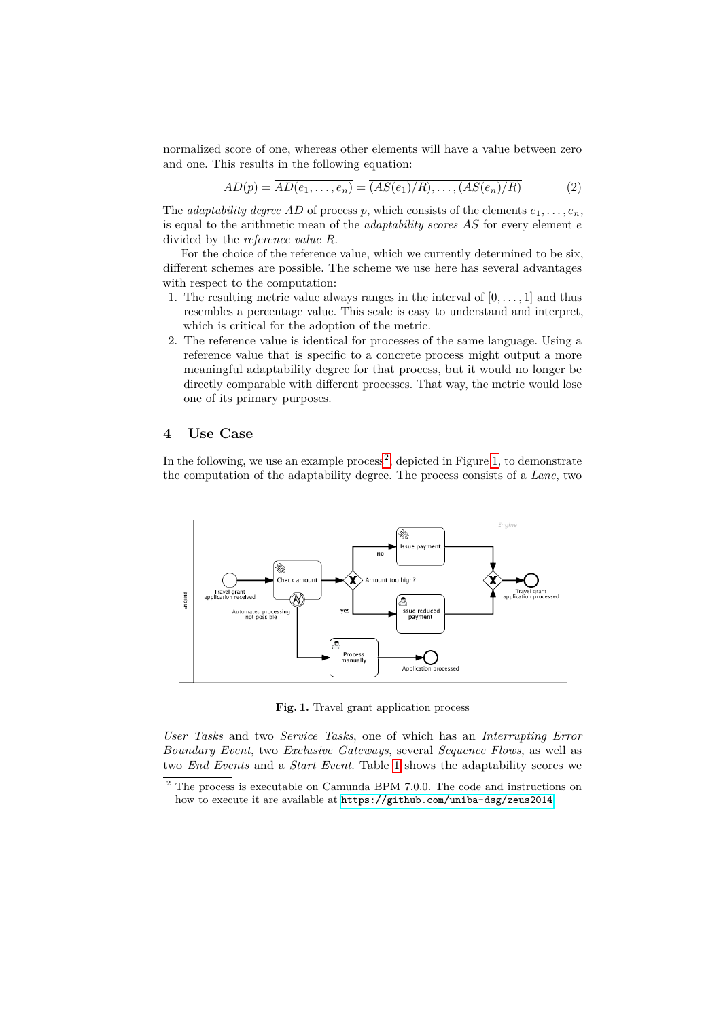normalized score of one, whereas other elements will have a value between zero and one. This results in the following equation:

$$
AD(p) = \overline{AD(e_1, \ldots, e_n)} = \overline{(AS(e_1)/R), \ldots, (AS(e_n)/R)}
$$
(2)

The *adaptability degree AD* of process *p*, which consists of the elements  $e_1, \ldots, e_n$ , is equal to the arithmetic mean of the *adaptability scores AS* for every element *e* divided by the *reference value R*.

For the choice of the reference value, which we currently determined to be six, different schemes are possible. The scheme we use here has several advantages with respect to the computation:

- 1. The resulting metric value always ranges in the interval of  $[0, \ldots, 1]$  and thus resembles a percentage value. This scale is easy to understand and interpret, which is critical for the adoption of the metric.
- 2. The reference value is identical for processes of the same language. Using a reference value that is specific to a concrete process might output a more meaningful adaptability degree for that process, but it would no longer be directly comparable with different processes. That way, the metric would lose one of its primary purposes.

## **4 Use Case**

In the following, we use an example  $\text{process}^2$  $\text{process}^2$ , depicted in Figure [1,](#page-5-1) to demonstrate the computation of the adaptability degree. The process consists of a *Lane*, two

<span id="page-5-1"></span>

**Fig. 1.** Travel grant application process

*User Tasks* and two *Service Tasks*, one of which has an *Interrupting Error Boundary Event*, two *Exclusive Gateways*, several *Sequence Flows*, as well as two *End Events* and a *Start Event*. Table [1](#page-6-0) shows the adaptability scores we

<span id="page-5-0"></span> $^2$  The process is executable on Camunda BPM 7.0.0. The code and instructions on how to execute it are available at <https://github.com/uniba-dsg/zeus2014>.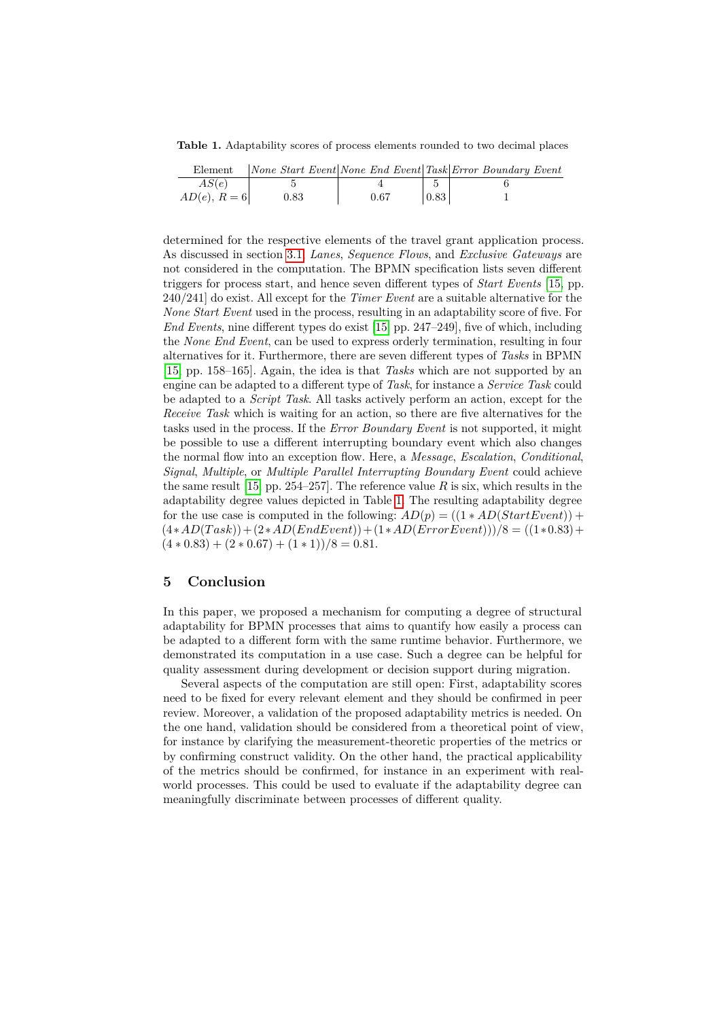<span id="page-6-0"></span>**Table 1.** Adaptability scores of process elements rounded to two decimal places

| Element      |            |      |                    | $ None\ Start\ Event None\ End\ Event Task Error\ Boundary\ Event$ |
|--------------|------------|------|--------------------|--------------------------------------------------------------------|
| AS(e)        |            |      |                    |                                                                    |
| $AD(e), R=6$ | $\rm 0.83$ | 0.67 | $\vert 0.83 \vert$ |                                                                    |

determined for the respective elements of the travel grant application process. As discussed in section [3.1,](#page-3-2) *Lanes*, *Sequence Flows*, and *Exclusive Gateways* are not considered in the computation. The BPMN specification lists seven different triggers for process start, and hence seven different types of *Start Events* [\[15,](#page-7-1) pp. 240/241] do exist. All except for the *Timer Event* are a suitable alternative for the *None Start Event* used in the process, resulting in an adaptability score of five. For *End Events*, nine different types do exist [\[15,](#page-7-1) pp. 247–249], five of which, including the *None End Event*, can be used to express orderly termination, resulting in four alternatives for it. Furthermore, there are seven different types of *Tasks* in BPMN [\[15,](#page-7-1) pp. 158–165]. Again, the idea is that *Tasks* which are not supported by an engine can be adapted to a different type of *Task*, for instance a *Service Task* could be adapted to a *Script Task*. All tasks actively perform an action, except for the *Receive Task* which is waiting for an action, so there are five alternatives for the tasks used in the process. If the *Error Boundary Event* is not supported, it might be possible to use a different interrupting boundary event which also changes the normal flow into an exception flow. Here, a *Message*, *Escalation*, *Conditional*, *Signal*, *Multiple*, or *Multiple Parallel Interrupting Boundary Event* could achieve the same result [\[15,](#page-7-1) pp. 254–257]. The reference value  $R$  is six, which results in the adaptability degree values depicted in Table [1.](#page-6-0) The resulting adaptability degree for the use case is computed in the following:  $AD(p) = ((1 * AD(StartEvent)) +$  $(4*AD(Task)) + (2*AD(EndEvent)) + (1*AD(ErrorEvent)))$ /8 =  $((1*0.83) +$  $(4 * 0.83) + (2 * 0.67) + (1 * 1)/8 = 0.81.$ 

## **5 Conclusion**

In this paper, we proposed a mechanism for computing a degree of structural adaptability for BPMN processes that aims to quantify how easily a process can be adapted to a different form with the same runtime behavior. Furthermore, we demonstrated its computation in a use case. Such a degree can be helpful for quality assessment during development or decision support during migration.

Several aspects of the computation are still open: First, adaptability scores need to be fixed for every relevant element and they should be confirmed in peer review. Moreover, a validation of the proposed adaptability metrics is needed. On the one hand, validation should be considered from a theoretical point of view, for instance by clarifying the measurement-theoretic properties of the metrics or by confirming construct validity. On the other hand, the practical applicability of the metrics should be confirmed, for instance in an experiment with realworld processes. This could be used to evaluate if the adaptability degree can meaningfully discriminate between processes of different quality.